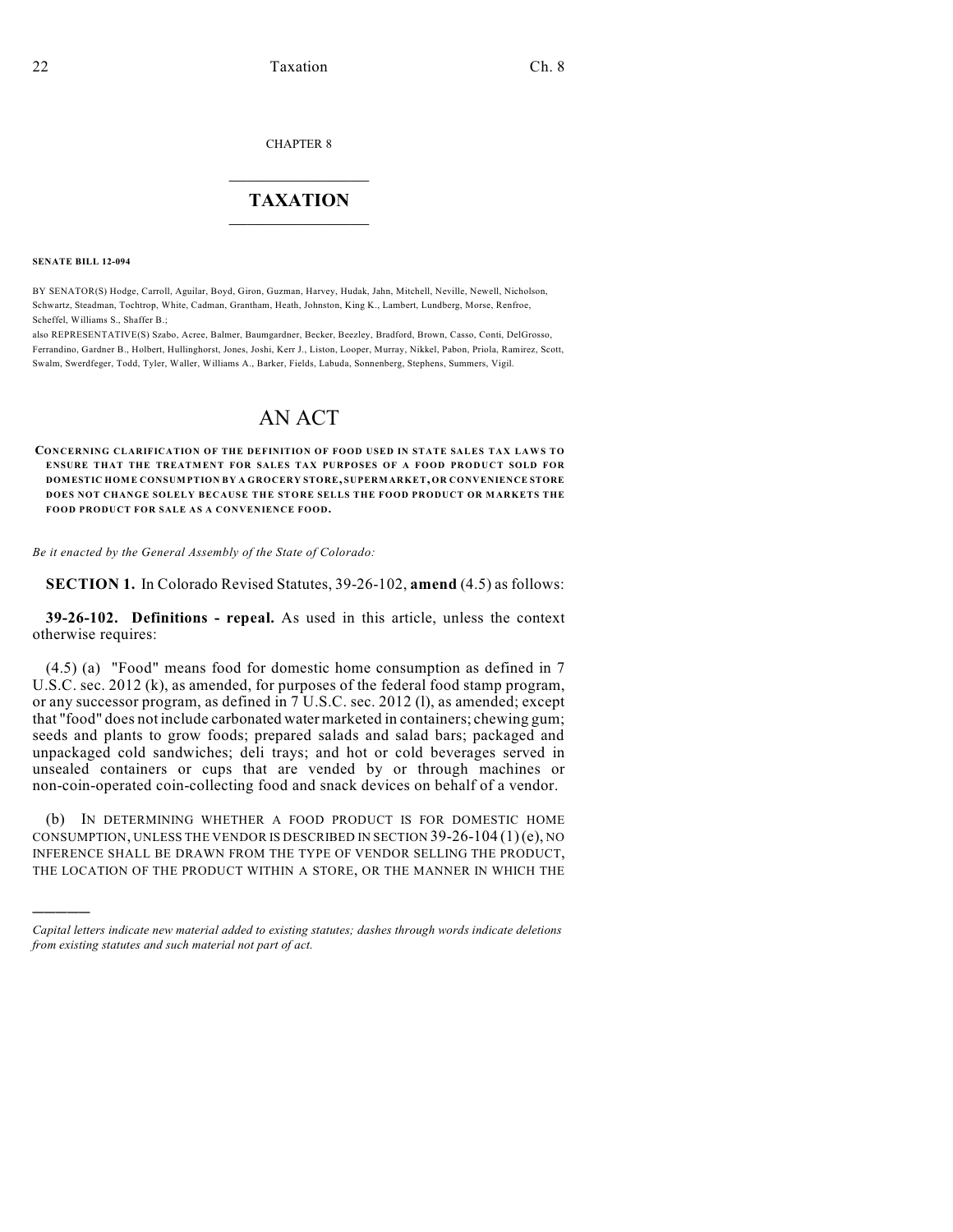CHAPTER 8

## $\overline{\phantom{a}}$  . The set of the set of the set of the set of the set of the set of the set of the set of the set of the set of the set of the set of the set of the set of the set of the set of the set of the set of the set o **TAXATION**  $\_$

**SENATE BILL 12-094**

)))))

BY SENATOR(S) Hodge, Carroll, Aguilar, Boyd, Giron, Guzman, Harvey, Hudak, Jahn, Mitchell, Neville, Newell, Nicholson, Schwartz, Steadman, Tochtrop, White, Cadman, Grantham, Heath, Johnston, King K., Lambert, Lundberg, Morse, Renfroe, Scheffel, Williams S., Shaffer B.;

also REPRESENTATIVE(S) Szabo, Acree, Balmer, Baumgardner, Becker, Beezley, Bradford, Brown, Casso, Conti, DelGrosso, Ferrandino, Gardner B., Holbert, Hullinghorst, Jones, Joshi, Kerr J., Liston, Looper, Murray, Nikkel, Pabon, Priola, Ramirez, Scott, Swalm, Swerdfeger, Todd, Tyler, Waller, Williams A., Barker, Fields, Labuda, Sonnenberg, Stephens, Summers, Vigil.

## AN ACT

**CONCERNING CLARIFICATION OF THE DEFINITION OF FOOD USED IN STATE SALES TAX LAWS TO ENSURE THAT THE TREATMENT FOR SALES TAX PURPOSES OF A FOOD PRODUCT SOLD FOR DOMESTIC HOME CONSUMPTION BY A GROCERY STORE, SUPERMARKET, OR CONVENIENCE STORE DOES NOT CHANGE SOLELY BECAUSE THE STORE SELLS THE FOOD PRODUCT OR MARKETS THE FOOD PRODUCT FOR SALE AS A CONVENIENCE FOOD.**

*Be it enacted by the General Assembly of the State of Colorado:*

**SECTION 1.** In Colorado Revised Statutes, 39-26-102, **amend** (4.5) as follows:

**39-26-102. Definitions - repeal.** As used in this article, unless the context otherwise requires:

(4.5) (a) "Food" means food for domestic home consumption as defined in 7 U.S.C. sec. 2012 (k), as amended, for purposes of the federal food stamp program, or any successor program, as defined in 7 U.S.C. sec. 2012 (l), as amended; except that "food" does not include carbonated water marketed in containers; chewing gum; seeds and plants to grow foods; prepared salads and salad bars; packaged and unpackaged cold sandwiches; deli trays; and hot or cold beverages served in unsealed containers or cups that are vended by or through machines or non-coin-operated coin-collecting food and snack devices on behalf of a vendor.

(b) IN DETERMINING WHETHER A FOOD PRODUCT IS FOR DOMESTIC HOME CONSUMPTION, UNLESS THE VENDOR IS DESCRIBED IN SECTION  $39-26-104(1)(e)$ , NO INFERENCE SHALL BE DRAWN FROM THE TYPE OF VENDOR SELLING THE PRODUCT, THE LOCATION OF THE PRODUCT WITHIN A STORE, OR THE MANNER IN WHICH THE

*Capital letters indicate new material added to existing statutes; dashes through words indicate deletions from existing statutes and such material not part of act.*